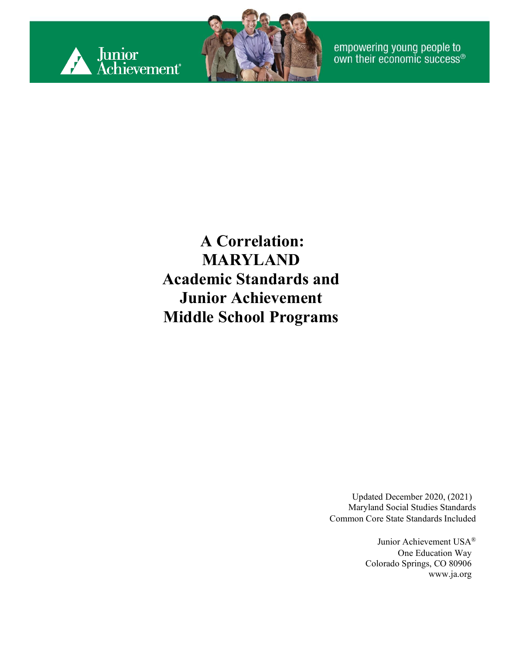



empowering young people to<br>own their economic success®

#### **A Correlation: MARYLAND Academic Standards and Junior Achievement Middle School Programs**

Updated December 2020, (2021) Maryland Social Studies Standards Common Core State Standards Included

> Junior Achievement USA® One Education Way Colorado Springs, CO 80906 [www.ja.org](http://www.ja.org/)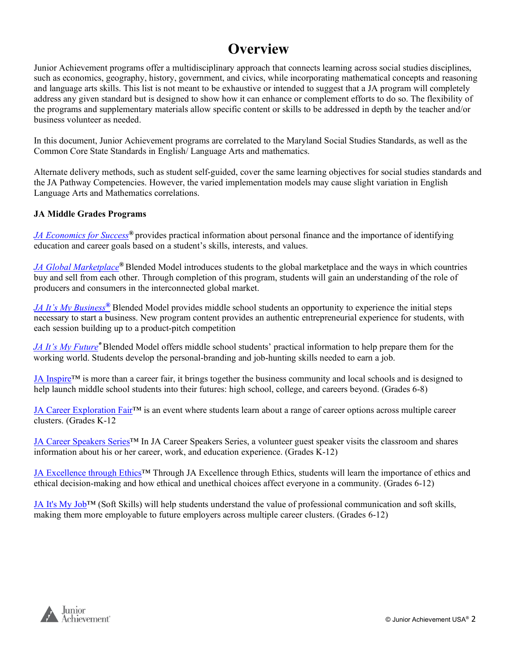#### **Overview**

Junior Achievement programs offer a multidisciplinary approach that connects learning across social studies disciplines, such as economics, geography, history, government, and civics, while incorporating mathematical concepts and reasoning and language arts skills. This list is not meant to be exhaustive or intended to suggest that a JA program will completely address any given standard but is designed to show how it can enhance or complement efforts to do so. The flexibility of the programs and supplementary materials allow specific content or skills to be addressed in depth by the teacher and/or business volunteer as needed.

In this document, Junior Achievement programs are correlated to the Maryland Social Studies Standards, as well as the Common Core State Standards in English/ Language Arts and mathematics.

Alternate delivery methods, such as student self-guided, cover the same learning objectives for social studies standards and the JA Pathway Competencies. However, the varied implementation models may cause slight variation in English Language Arts and Mathematics correlations.

#### **JA Middle Grades Programs**

*[JA Economics for Success](#page-2-0)®* provides practical information about personal finance and the importance of identifying education and career goals based on a student's skills, interests, and values.

*[JA Global Marketplace](#page-4-0)®* Blended Model introduces students to the global marketplace and the ways in which countries buy and sell from each other. Through completion of this program, students will gain an understanding of the role of producers and consumers in the interconnected global market.

*[JA It's My Business](#page-8-0)[®](#page-8-0)* Blended Model provides middle school students an opportunity to experience the initial steps necessary to start a business. New program content provides an authentic entrepreneurial experience for students, with each session building up to a product-pitch competition

*[JA It's My Future](#page-11-0)®* Blended Model offers middle school students' practical information to help prepare them for the working world. Students develop the personal-branding and job-hunting skills needed to earn a job.

[JA Inspire™](#page-19-0) is more than a career fair, it brings together the business community and local schools and is designed to help launch middle school students into their futures: high school, college, and careers beyond. (Grades 6-8)

[JA Career Exploration Fair™](#page-16-0) is an event where students learn about a range of career options across multiple career clusters. (Grades K-12

[JA Career Speakers Series™](#page-17-0) In JA Career Speakers Series, a volunteer guest speaker visits the classroom and shares information about his or her career, work, and education experience. (Grades K-12)

JA Excellence through Ethics™ Through JA Excellence through Ethics, students will learn the importance of ethics and ethical decision-making and how ethical and unethical choices affect everyone in a community. (Grades 6-12)

[JA It's My Job™](#page-19-0) (Soft Skills) will help students understand the value of professional communication and soft skills, making them more employable to future employers across multiple career clusters. (Grades 6-12)

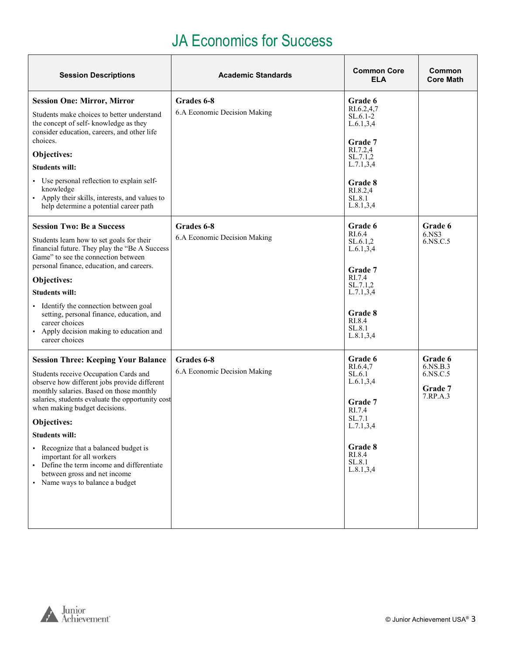#### JA Economics for Success

<span id="page-2-0"></span>

| <b>Session Descriptions</b>                                                                                                                                                                                                                                                                                                                                       | <b>Academic Standards</b>                  | <b>Common Core</b><br><b>ELA</b>                                                                                  | Common<br><b>Core Math</b>                             |
|-------------------------------------------------------------------------------------------------------------------------------------------------------------------------------------------------------------------------------------------------------------------------------------------------------------------------------------------------------------------|--------------------------------------------|-------------------------------------------------------------------------------------------------------------------|--------------------------------------------------------|
| <b>Session One: Mirror, Mirror</b>                                                                                                                                                                                                                                                                                                                                | Grades 6-8                                 | Grade 6                                                                                                           |                                                        |
| Students make choices to better understand<br>the concept of self-knowledge as they<br>consider education, careers, and other life<br>choices.<br>Objectives:<br><b>Students will:</b><br>• Use personal reflection to explain self-<br>knowledge                                                                                                                 | 6.A Economic Decision Making               | RI.6.2,4,7<br>$SL.6.1-2$<br>L.6.1, 3, 4<br>Grade 7<br>RI.7.2,4<br>SL.7.1,2<br>L.7.1, 3, 4<br>Grade 8<br>RI.8.2,4  |                                                        |
| Apply their skills, interests, and values to<br>help determine a potential career path                                                                                                                                                                                                                                                                            |                                            | SL.8.1<br>L.8.1, 3, 4                                                                                             |                                                        |
| <b>Session Two: Be a Success</b><br>Students learn how to set goals for their<br>financial future. They play the "Be A Success<br>Game" to see the connection between<br>personal finance, education, and careers.<br>Objectives:<br><b>Students will:</b><br>Identify the connection between goal<br>setting, personal finance, education, and<br>career choices | Grades 6-8<br>6.A Economic Decision Making | Grade 6<br>RI.6.4<br>SL.6.1,2<br>L.6.1, 3, 4<br>Grade 7<br>RI.7.4<br>SL.7.1,2<br>L.7.1, 3, 4<br>Grade 8<br>RI.8.4 | Grade 6<br>6.NS3<br>6.NS.C.5                           |
| • Apply decision making to education and<br>career choices                                                                                                                                                                                                                                                                                                        |                                            | SL.8.1<br>L.8.1, 3, 4                                                                                             |                                                        |
| <b>Session Three: Keeping Your Balance</b><br>Students receive Occupation Cards and<br>observe how different jobs provide different<br>monthly salaries. Based on those monthly<br>salaries, students evaluate the opportunity cost<br>when making budget decisions.                                                                                              | Grades 6-8<br>6.A Economic Decision Making | Grade 6<br>RI.6.4,7<br>SL.6.1<br>L.6.1, 3, 4<br>Grade 7<br>RI.7.4                                                 | Grade 6<br>6.NS.B.3<br>6.NS.C.5<br>Grade 7<br>7.RP.A.3 |
| Objectives:                                                                                                                                                                                                                                                                                                                                                       |                                            | SL.7.1<br>L.7.1, 3, 4                                                                                             |                                                        |
| <b>Students will:</b>                                                                                                                                                                                                                                                                                                                                             |                                            |                                                                                                                   |                                                        |
| • Recognize that a balanced budget is<br>important for all workers<br>• Define the term income and differentiate<br>between gross and net income<br>• Name ways to balance a budget                                                                                                                                                                               |                                            | Grade 8<br>RI.8.4<br>SL.8.1<br>L.8.1, 3, 4                                                                        |                                                        |

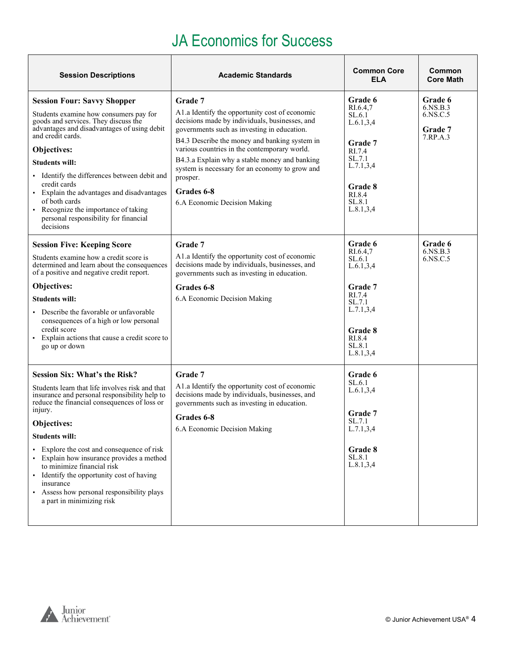#### JA Economics for Success

| <b>Session Descriptions</b>                                                                                                                                                                                                                                                                                                                                                                                                                                                                              | <b>Academic Standards</b>                                                                                                                                                                                                                                                                                                                                                                                                | <b>Common Core</b><br><b>ELA</b>                                                                                                         | Common<br><b>Core Math</b>                                    |
|----------------------------------------------------------------------------------------------------------------------------------------------------------------------------------------------------------------------------------------------------------------------------------------------------------------------------------------------------------------------------------------------------------------------------------------------------------------------------------------------------------|--------------------------------------------------------------------------------------------------------------------------------------------------------------------------------------------------------------------------------------------------------------------------------------------------------------------------------------------------------------------------------------------------------------------------|------------------------------------------------------------------------------------------------------------------------------------------|---------------------------------------------------------------|
| <b>Session Four: Savvy Shopper</b><br>Students examine how consumers pay for<br>goods and services. They discuss the<br>advantages and disadvantages of using debit<br>and credit cards.<br>Objectives:<br><b>Students will:</b><br>Identify the differences between debit and<br>credit cards<br>• Explain the advantages and disadvantages<br>of both cards<br>• Recognize the importance of taking<br>personal responsibility for financial<br>decisions                                              | Grade 7<br>A1.a Identify the opportunity cost of economic<br>decisions made by individuals, businesses, and<br>governments such as investing in education.<br>B4.3 Describe the money and banking system in<br>various countries in the contemporary world.<br>B4.3.a Explain why a stable money and banking<br>system is necessary for an economy to grow and<br>prosper.<br>Grades 6-8<br>6.A Economic Decision Making | Grade 6<br>RI.6.4,7<br>SL.6.1<br>L.6.1, 3, 4<br>Grade 7<br>RI.7.4<br>SL.7.1<br>L.7.1, 3, 4<br>Grade 8<br>RI.8.4<br>SL.8.1<br>L.8.1, 3, 4 | Grade 6<br>6.NS.B.3<br>6.NS.C.5<br><b>Grade</b> 7<br>7.RP.A.3 |
| <b>Session Five: Keeping Score</b><br>Students examine how a credit score is<br>determined and learn about the consequences<br>of a positive and negative credit report.<br>Objectives:<br><b>Students will:</b><br>Describe the favorable or unfavorable<br>consequences of a high or low personal<br>credit score<br>Explain actions that cause a credit score to<br>go up or down                                                                                                                     | Grade 7<br>A1.a Identify the opportunity cost of economic<br>decisions made by individuals, businesses, and<br>governments such as investing in education.<br>Grades 6-8<br>6.A Economic Decision Making                                                                                                                                                                                                                 | Grade 6<br>RI.6.4,7<br>SL.6.1<br>L.6.1, 3, 4<br>Grade 7<br>RI.7.4<br>SL.7.1<br>L.7.1, 3, 4<br>Grade 8<br>RI.8.4<br>SL.8.1<br>L.8.1, 3, 4 | Grade 6<br>6.NS.B.3<br>6.NS.C.5                               |
| <b>Session Six: What's the Risk?</b><br>Students learn that life involves risk and that<br>insurance and personal responsibility help to<br>reduce the financial consequences of loss or<br>injury.<br>Objectives:<br><b>Students will:</b><br>Explore the cost and consequence of risk<br>Explain how insurance provides a method<br>to minimize financial risk<br>• Identify the opportunity cost of having<br>insurance<br>Assess how personal responsibility plays<br>٠<br>a part in minimizing risk | Grade 7<br>A1.a Identify the opportunity cost of economic<br>decisions made by individuals, businesses, and<br>governments such as investing in education.<br>Grades 6-8<br>6.A Economic Decision Making                                                                                                                                                                                                                 | Grade 6<br>SL.6.1<br>L.6.1, 3, 4<br>Grade 7<br>SL.7.1<br>L.7.1, 3, 4<br>Grade 8<br>SL.8.1<br>L.8.1, 3, 4                                 |                                                               |

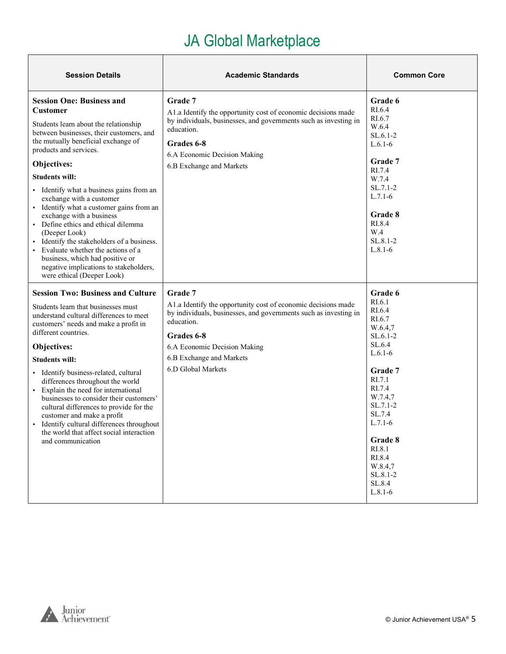<span id="page-4-0"></span>

| <b>Session Details</b>                                                                                                                                                                                                                                                                                                                                                                                                                                                                                                                                                                                                                                | <b>Academic Standards</b>                                                                                                                                                                                                                                  | <b>Common Core</b>                                                                                                                                                                                                                              |
|-------------------------------------------------------------------------------------------------------------------------------------------------------------------------------------------------------------------------------------------------------------------------------------------------------------------------------------------------------------------------------------------------------------------------------------------------------------------------------------------------------------------------------------------------------------------------------------------------------------------------------------------------------|------------------------------------------------------------------------------------------------------------------------------------------------------------------------------------------------------------------------------------------------------------|-------------------------------------------------------------------------------------------------------------------------------------------------------------------------------------------------------------------------------------------------|
| <b>Session One: Business and</b><br><b>Customer</b><br>Students learn about the relationship<br>between businesses, their customers, and<br>the mutually beneficial exchange of<br>products and services.<br>Objectives:<br><b>Students will:</b><br>• Identify what a business gains from an<br>exchange with a customer<br>• Identify what a customer gains from an<br>exchange with a business<br>• Define ethics and ethical dilemma<br>(Deeper Look)<br>Identify the stakeholders of a business.<br>Evaluate whether the actions of a<br>business, which had positive or<br>negative implications to stakeholders,<br>were ethical (Deeper Look) | Grade 7<br>A1.a Identify the opportunity cost of economic decisions made<br>by individuals, businesses, and governments such as investing in<br>education.<br>Grades 6-8<br>6.A Economic Decision Making<br>6.B Exchange and Markets                       | Grade 6<br>RI.6.4<br>RI.6.7<br>W.6.4<br>$SL.6.1-2$<br>$L.6.1-6$<br>Grade 7<br>RI.7.4<br>W.7.4<br>$SL.7.1-2$<br>$L.7.1-6$<br>Grade 8<br>RI.8.4<br>W.4<br>SL.8.1-2<br>$L.8.1-6$                                                                   |
| <b>Session Two: Business and Culture</b><br>Students learn that businesses must<br>understand cultural differences to meet<br>customers' needs and make a profit in<br>different countries.<br>Objectives:<br><b>Students will:</b><br>· Identify business-related, cultural<br>differences throughout the world<br>• Explain the need for international<br>businesses to consider their customers'<br>cultural differences to provide for the<br>customer and make a profit<br>Identify cultural differences throughout<br>the world that affect social interaction<br>and communication                                                             | Grade 7<br>A1.a Identify the opportunity cost of economic decisions made<br>by individuals, businesses, and governments such as investing in<br>education.<br>Grades 6-8<br>6.A Economic Decision Making<br>6.B Exchange and Markets<br>6.D Global Markets | Grade 6<br>RI.6.1<br>RI.6.4<br>RI.6.7<br>W.6.4,7<br>$SL.6.1-2$<br>SL.6.4<br>$L.6.1-6$<br>Grade 7<br>RI.7.1<br>RI.7.4<br>W.7.4,7<br>SL.7.1-2<br>SL.7.4<br>$L.7.1-6$<br>Grade 8<br>RI.8.1<br>RI.8.4<br>W.8.4,7<br>SL.8.1-2<br>SL.8.4<br>$L.8.1-6$ |

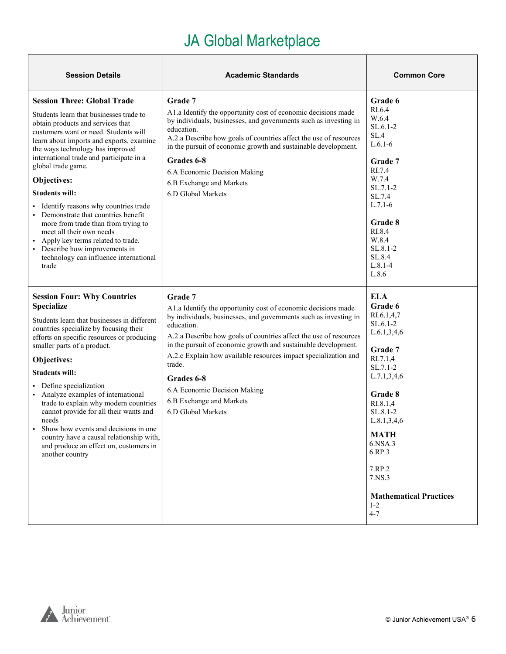| <b>Session Details</b>                                                                                                                                                                                                                                                                                                                                                                                                                                                                                                                                                                                                           | <b>Academic Standards</b>                                                                                                                                                                                                                                                                                                                                                                                                                                                      | <b>Common Core</b>                                                                                                                                                                                                                                                                         |
|----------------------------------------------------------------------------------------------------------------------------------------------------------------------------------------------------------------------------------------------------------------------------------------------------------------------------------------------------------------------------------------------------------------------------------------------------------------------------------------------------------------------------------------------------------------------------------------------------------------------------------|--------------------------------------------------------------------------------------------------------------------------------------------------------------------------------------------------------------------------------------------------------------------------------------------------------------------------------------------------------------------------------------------------------------------------------------------------------------------------------|--------------------------------------------------------------------------------------------------------------------------------------------------------------------------------------------------------------------------------------------------------------------------------------------|
| <b>Session Three: Global Trade</b><br>Students learn that businesses trade to<br>obtain products and services that<br>customers want or need. Students will<br>learn about imports and exports, examine<br>the ways technology has improved<br>international trade and participate in a<br>global trade game.<br>Objectives:<br><b>Students will:</b><br>Identify reasons why countries trade<br>Demonstrate that countries benefit<br>more from trade than from trying to<br>meet all their own needs<br>Apply key terms related to trade.<br>• Describe how improvements in<br>technology can influence international<br>trade | Grade 7<br>A1.a Identify the opportunity cost of economic decisions made<br>by individuals, businesses, and governments such as investing in<br>education.<br>A.2.a Describe how goals of countries affect the use of resources<br>in the pursuit of economic growth and sustainable development.<br>Grades 6-8<br>6.A Economic Decision Making<br>6.B Exchange and Markets<br>6.D Global Markets                                                                              | Grade 6<br>RI.6.4<br>W.6.4<br>$SL.6.1-2$<br>SL.4<br>$L.6.1-6$<br>Grade 7<br>RI.7.4<br>W.7.4<br>$SL.7.1-2$<br>SL.7.4<br>$L.7.1-6$<br>Grade 8<br>RI.8.4<br>W.8.4<br>SL.8.1-2<br>SL.8.4<br>$L.8.1 - 4$<br>L.8.6                                                                               |
| <b>Session Four: Why Countries</b><br><b>Specialize</b><br>Students learn that businesses in different<br>countries specialize by focusing their<br>efforts on specific resources or producing<br>smaller parts of a product.<br>Objectives:<br><b>Students will:</b><br>Define specialization<br>Analyze examples of international<br>trade to explain why modern countries<br>cannot provide for all their wants and<br>needs<br>Show how events and decisions in one<br>country have a causal relationship with,<br>and produce an effect on, customers in<br>another country                                                 | Grade 7<br>A1.a Identify the opportunity cost of economic decisions made<br>by individuals, businesses, and governments such as investing in<br>education.<br>A.2.a Describe how goals of countries affect the use of resources<br>in the pursuit of economic growth and sustainable development.<br>A.2.c Explain how available resources impact specialization and<br>trade.<br>Grades 6-8<br>6.A Economic Decision Making<br>6.B Exchange and Markets<br>6.D Global Markets | <b>ELA</b><br>Grade 6<br>RI.6.1,4,7<br>SL.6.1-2<br>L.6.1, 3, 4, 6<br>Grade 7<br>RI.7.1,4<br>SL.7.1-2<br>L.7.1, 3, 4, 6<br>Grade 8<br>RI.8.1,4<br>SL.8.1-2<br>L.8.1, 3, 4, 6<br><b>MATH</b><br>6.NSA.3<br>6.RP.3<br>7.RP.2<br>7.NS.3<br><b>Mathematical Practices</b><br>$1 - 2$<br>$4 - 7$ |

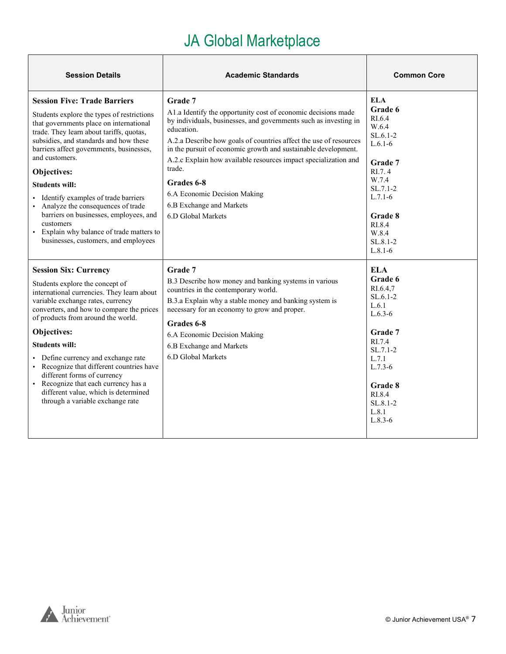| <b>Session Details</b>                                                                                                                                                                                                                                                                                                                                                                                                                                                                                                                         | <b>Academic Standards</b>                                                                                                                                                                                                                                                                                                                                                                                                                                                      | <b>Common Core</b>                                                                                                                                                                        |
|------------------------------------------------------------------------------------------------------------------------------------------------------------------------------------------------------------------------------------------------------------------------------------------------------------------------------------------------------------------------------------------------------------------------------------------------------------------------------------------------------------------------------------------------|--------------------------------------------------------------------------------------------------------------------------------------------------------------------------------------------------------------------------------------------------------------------------------------------------------------------------------------------------------------------------------------------------------------------------------------------------------------------------------|-------------------------------------------------------------------------------------------------------------------------------------------------------------------------------------------|
| <b>Session Five: Trade Barriers</b><br>Students explore the types of restrictions<br>that governments place on international<br>trade. They learn about tariffs, quotas,<br>subsidies, and standards and how these<br>barriers affect governments, businesses,<br>and customers.<br>Objectives:<br><b>Students will:</b><br>Identify examples of trade barriers<br>Analyze the consequences of trade<br>barriers on businesses, employees, and<br>customers<br>Explain why balance of trade matters to<br>businesses, customers, and employees | Grade 7<br>A1.a Identify the opportunity cost of economic decisions made<br>by individuals, businesses, and governments such as investing in<br>education.<br>A.2.a Describe how goals of countries affect the use of resources<br>in the pursuit of economic growth and sustainable development.<br>A.2.c Explain how available resources impact specialization and<br>trade.<br>Grades 6-8<br>6.A Economic Decision Making<br>6.B Exchange and Markets<br>6.D Global Markets | <b>ELA</b><br>Grade 6<br>RI.6.4<br>W.6.4<br>$SL.6.1-2$<br>$L.6.1-6$<br>Grade 7<br>RI.7.4<br>W.7.4<br>$SL.7.1-2$<br>$L.7.1-6$<br>Grade 8<br>RI.8.4<br>W.8.4<br>$SL.8.1 - 2$<br>$L.8.1-6$   |
| <b>Session Six: Currency</b><br>Students explore the concept of<br>international currencies. They learn about<br>variable exchange rates, currency<br>converters, and how to compare the prices<br>of products from around the world.<br>Objectives:<br><b>Students will:</b><br>• Define currency and exchange rate<br>• Recognize that different countries have<br>different forms of currency<br>• Recognize that each currency has a<br>different value, which is determined<br>through a variable exchange rate                           | Grade 7<br>B.3 Describe how money and banking systems in various<br>countries in the contemporary world.<br>B.3.a Explain why a stable money and banking system is<br>necessary for an economy to grow and proper.<br>Grades 6-8<br>6.A Economic Decision Making<br>6.B Exchange and Markets<br>6.D Global Markets                                                                                                                                                             | <b>ELA</b><br>Grade 6<br>RI.6.4,7<br>$SL.6.1-2$<br>L.6.1<br>$L.6.3-6$<br>Grade 7<br>RI.7.4<br>$SL.7.1-2$<br>L.7.1<br>$L.7.3-6$<br>Grade 8<br>RI.8.4<br>$SL.8.1 - 2$<br>L.8.1<br>$L.8.3-6$ |

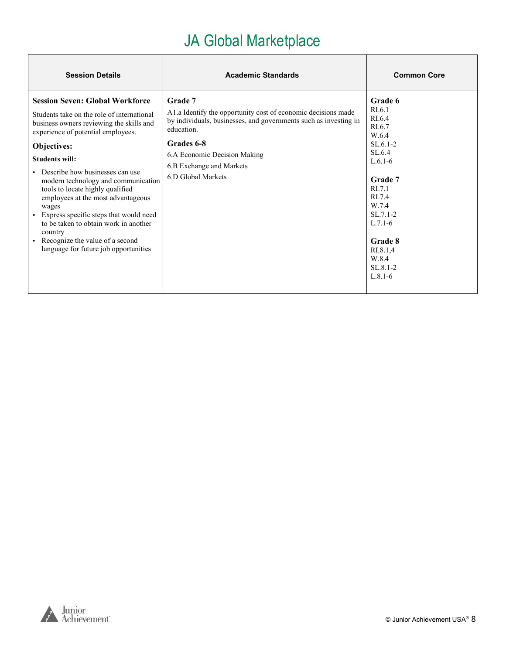| <b>Session Details</b>                                                                                                                                                                                                                                                                                                                                                                                                                                                                                                                                | <b>Academic Standards</b>                                                                                                                                                                                                                                  | <b>Common Core</b>                                                                                                                                                                                                         |
|-------------------------------------------------------------------------------------------------------------------------------------------------------------------------------------------------------------------------------------------------------------------------------------------------------------------------------------------------------------------------------------------------------------------------------------------------------------------------------------------------------------------------------------------------------|------------------------------------------------------------------------------------------------------------------------------------------------------------------------------------------------------------------------------------------------------------|----------------------------------------------------------------------------------------------------------------------------------------------------------------------------------------------------------------------------|
| <b>Session Seven: Global Workforce</b><br>Students take on the role of international<br>business owners reviewing the skills and<br>experience of potential employees.<br>Objectives:<br><b>Students will:</b><br>Describe how businesses can use<br>modern technology and communication<br>tools to locate highly qualified<br>employees at the most advantageous<br>wages<br>Express specific steps that would need<br>to be taken to obtain work in another<br>country<br>Recognize the value of a second<br>language for future job opportunities | Grade 7<br>A1.a Identify the opportunity cost of economic decisions made<br>by individuals, businesses, and governments such as investing in<br>education.<br>Grades 6-8<br>6.A Economic Decision Making<br>6.B Exchange and Markets<br>6.D Global Markets | Grade 6<br>RI.6.1<br>RL <sub>6.4</sub><br>RI.6.7<br>W.6.4<br>$SL.6.1-2$<br>SL.6.4<br>$L.6.1-6$<br>Grade 7<br>RI.7.1<br>RI.7.4<br>W.7.4<br>$SL.7.1-2$<br>$L.7.1-6$<br>Grade 8<br>RI.8.1,4<br>W.8.4<br>SL.8.1-2<br>$L.8.1-6$ |



 $\overline{\phantom{a}}$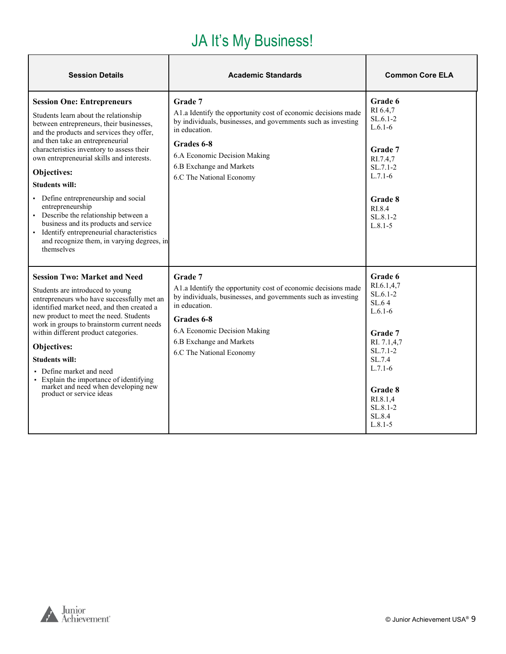#### JA It's My Business!

<span id="page-8-0"></span>

| <b>Session Details</b>                                                                                                                                                                                                                                                                                                                                                                                                                                                                                                                                                                            | <b>Academic Standards</b>                                                                                                                                                                                                                                        | <b>Common Core ELA</b>                                                                                                                                                                      |
|---------------------------------------------------------------------------------------------------------------------------------------------------------------------------------------------------------------------------------------------------------------------------------------------------------------------------------------------------------------------------------------------------------------------------------------------------------------------------------------------------------------------------------------------------------------------------------------------------|------------------------------------------------------------------------------------------------------------------------------------------------------------------------------------------------------------------------------------------------------------------|---------------------------------------------------------------------------------------------------------------------------------------------------------------------------------------------|
| <b>Session One: Entrepreneurs</b><br>Students learn about the relationship<br>between entrepreneurs, their businesses,<br>and the products and services they offer,<br>and then take an entrepreneurial<br>characteristics inventory to assess their<br>own entrepreneurial skills and interests.<br>Objectives:<br><b>Students will:</b><br>• Define entrepreneurship and social<br>entrepreneurship<br>• Describe the relationship between a<br>business and its products and service<br>• Identify entrepreneurial characteristics<br>and recognize them, in varying degrees, in<br>themselves | Grade 7<br>A1.a Identify the opportunity cost of economic decisions made<br>by individuals, businesses, and governments such as investing<br>in education.<br>Grades 6-8<br>6.A Economic Decision Making<br>6.B Exchange and Markets<br>6.C The National Economy | Grade 6<br>RI 6.4,7<br>$SL.6.1-2$<br>$L.6.1-6$<br>Grade 7<br>RI.7.4,7<br>$SL.7.1-2$<br>$L.7.1-6$<br>Grade 8<br>RI.8.4<br>$SL_8$ 1-2<br>$L.8.1 - 5$                                          |
| <b>Session Two: Market and Need</b><br>Students are introduced to young<br>entrepreneurs who have successfully met an<br>identified market need, and then created a<br>new product to meet the need. Students<br>work in groups to brainstorm current needs<br>within different product categories.<br>Objectives:<br><b>Students will:</b><br>• Define market and need<br>• Explain the importance of identifying<br>market and need when developing new<br>product or service ideas                                                                                                             | Grade 7<br>A1.a Identify the opportunity cost of economic decisions made<br>by individuals, businesses, and governments such as investing<br>in education.<br>Grades 6-8<br>6.A Economic Decision Making<br>6.B Exchange and Markets<br>6.C The National Economy | Grade 6<br>RI.6.1,4,7<br>$SL.6.1-2$<br>SL.64<br>$L.6.1-6$<br>Grade 7<br>RI. 7.1,4,7<br>$SL.7.1-2$<br>SL.7.4<br>$L.7.1-6$<br><b>Grade 8</b><br>RI.8.1,4<br>SL.8.1-2<br>SL.8.4<br>$L.8.1 - 5$ |

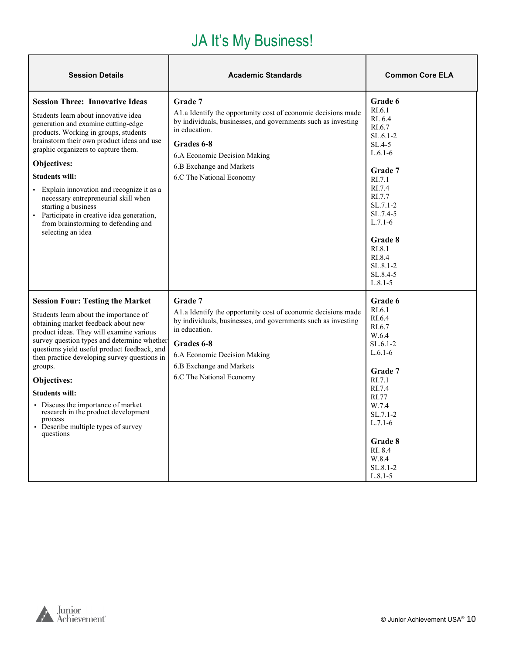#### JA It's My Business!

| <b>Session Details</b>                                                                                                                                                                                                                                                                                                                                                                                                                                                                                             | <b>Academic Standards</b>                                                                                                                                                                                                                                         | <b>Common Core ELA</b>                                                                                                                                                                                                              |
|--------------------------------------------------------------------------------------------------------------------------------------------------------------------------------------------------------------------------------------------------------------------------------------------------------------------------------------------------------------------------------------------------------------------------------------------------------------------------------------------------------------------|-------------------------------------------------------------------------------------------------------------------------------------------------------------------------------------------------------------------------------------------------------------------|-------------------------------------------------------------------------------------------------------------------------------------------------------------------------------------------------------------------------------------|
| <b>Session Three: Innovative Ideas</b><br>Students learn about innovative idea<br>generation and examine cutting-edge<br>products. Working in groups, students<br>brainstorm their own product ideas and use<br>graphic organizers to capture them.<br>Objectives:<br><b>Students will:</b><br>Explain innovation and recognize it as a<br>necessary entrepreneurial skill when<br>starting a business<br>• Participate in creative idea generation,<br>from brainstorming to defending and<br>selecting an idea   | Grade 7<br>A1.a Identify the opportunity cost of economic decisions made<br>by individuals, businesses, and governments such as investing<br>in education.<br>Grades 6-8<br>6.A Economic Decision Making<br>6.B Exchange and Markets<br>6.C The National Economy  | Grade 6<br>RI.6.1<br>RI. 6.4<br>RI.6.7<br>$SL.6.1-2$<br>$SL.4-5$<br>$L.6.1-6$<br>Grade 7<br>RI.7.1<br>RI.7.4<br>RI.7.7<br>$SL.7.1-2$<br>SL.7.4-5<br>$L.7.1-6$<br>Grade 8<br>RI.8.1<br>RI.8.4<br>SL.8.1-2<br>SL.8.4-5<br>$L.8.1 - 5$ |
| <b>Session Four: Testing the Market</b><br>Students learn about the importance of<br>obtaining market feedback about new<br>product ideas. They will examine various<br>survey question types and determine whether<br>questions yield useful product feedback, and<br>then practice developing survey questions in<br>groups.<br>Objectives:<br><b>Students will:</b><br>• Discuss the importance of market<br>research in the product development<br>process<br>• Describe multiple types of survey<br>questions | Grade 7<br>A 1.a Identify the opportunity cost of economic decisions made<br>by individuals, businesses, and governments such as investing<br>in education.<br>Grades 6-8<br>6.A Economic Decision Making<br>6.B Exchange and Markets<br>6.C The National Economy | Grade 6<br>RI.6.1<br>RI.6.4<br>RI.6.7<br>W.6.4<br>$SL.6.1-2$<br>$L.6.1-6$<br>Grade 7<br>RI.7.1<br>RI.7.4<br>RI.77<br>W.7.4<br>$SL.7.1-2$<br>$L.7.1-6$<br>Grade 8<br>RI. 8.4<br>W.8.4<br>SL.8.1-2<br>$L.8.1 - 5$                     |

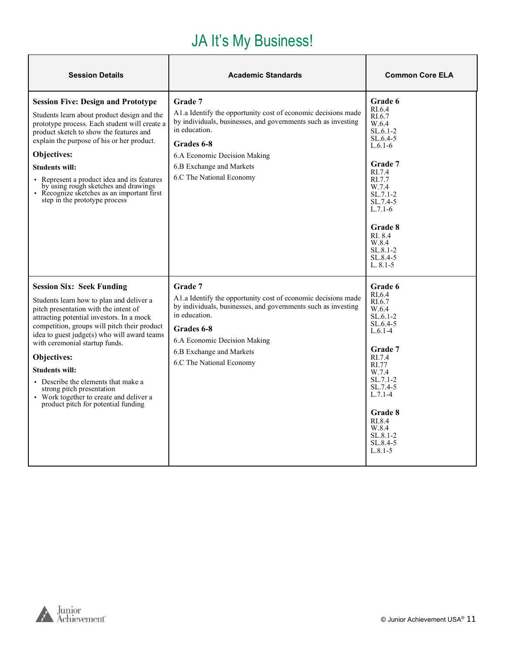#### JA It's My Business!

| <b>Session Details</b>                                                                                                                                                                                                                                                                                                                                                                                                                                                                            | <b>Academic Standards</b>                                                                                                                                                                                                                                        | <b>Common Core ELA</b>                                                                                                                                                                                                                       |
|---------------------------------------------------------------------------------------------------------------------------------------------------------------------------------------------------------------------------------------------------------------------------------------------------------------------------------------------------------------------------------------------------------------------------------------------------------------------------------------------------|------------------------------------------------------------------------------------------------------------------------------------------------------------------------------------------------------------------------------------------------------------------|----------------------------------------------------------------------------------------------------------------------------------------------------------------------------------------------------------------------------------------------|
| <b>Session Five: Design and Prototype</b><br>Students learn about product design and the<br>prototype process. Each student will create a<br>product sketch to show the features and<br>explain the purpose of his or her product.<br>Objectives:<br><b>Students will:</b><br>• Represent a product idea and its features<br>by using rough sketches and drawings<br>• Recognize sketches as an important first<br>step in the prototype process                                                  | Grade 7<br>A1.a Identify the opportunity cost of economic decisions made<br>by individuals, businesses, and governments such as investing<br>in education.<br>Grades 6-8<br>6.A Economic Decision Making<br>6.B Exchange and Markets<br>6.C The National Economy | Grade 6<br>RI.6.4<br>RI.6.7<br>W.6.4<br>$SL.6.1-2$<br>SL.6.4-5<br>$L.6.1-6$<br>Grade 7<br>RI.7.4<br>RI.7.7<br>W.7.4<br>$SL.7.1-2$<br>SL.7.4-5<br>$L.7.1-6$<br><b>Grade 8</b><br>RI. 8.4<br>W.8.4<br>$SL.8.1 - 2$<br>SL.8.4-5<br>$L. 8.1 - 5$ |
| <b>Session Six: Seek Funding</b><br>Students learn how to plan and deliver a<br>pitch presentation with the intent of<br>attracting potential investors. In a mock<br>competition, groups will pitch their product<br>idea to guest judge(s) who will award teams<br>with ceremonial startup funds.<br>Objectives:<br><b>Students will:</b><br>• Describe the elements that make a<br>strong pitch presentation<br>• Work together to create and deliver a<br>product pitch for potential funding | Grade 7<br>A1.a Identify the opportunity cost of economic decisions made<br>by individuals, businesses, and governments such as investing<br>in education.<br>Grades 6-8<br>6.A Economic Decision Making<br>6.B Exchange and Markets<br>6.C The National Economy | Grade 6<br>RI.6.4<br>RI.6.7<br>W.6.4<br>$SL.6.1-2$<br>$SL.6.4-5$<br>$L.6.1-4$<br>Grade 7<br>RI.7.4<br>RI.77<br>W.7.4<br>$SL.7.1-2$<br>SL.7.4-5<br>$L.7.1-4$<br>Grade 8<br>RI.8.4<br>W.8.4<br>SL.8.1-2<br>SL.8.4-5<br>$L.8.1 - 5$             |

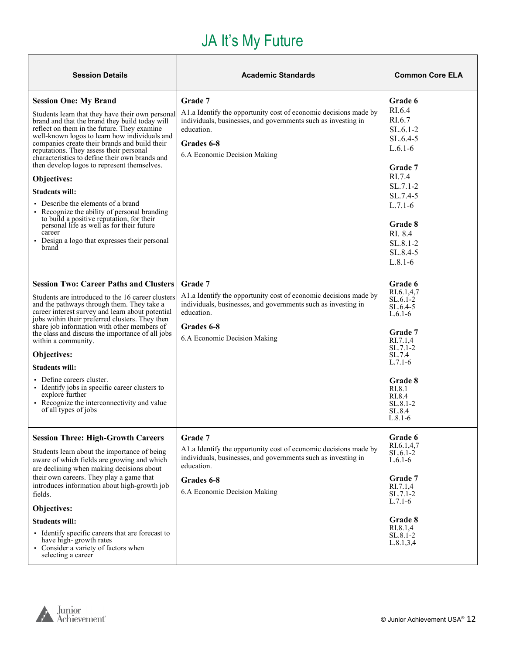# JA It's My Future

<span id="page-11-0"></span>

| <b>Session Details</b>                                                                                                                                                                                                                                                                                                                                                                                                                                                                                                                                                                                                                                                                                                           | <b>Academic Standards</b>                                                                                                                                                                                | <b>Common Core ELA</b>                                                                                                                                                                                                  |
|----------------------------------------------------------------------------------------------------------------------------------------------------------------------------------------------------------------------------------------------------------------------------------------------------------------------------------------------------------------------------------------------------------------------------------------------------------------------------------------------------------------------------------------------------------------------------------------------------------------------------------------------------------------------------------------------------------------------------------|----------------------------------------------------------------------------------------------------------------------------------------------------------------------------------------------------------|-------------------------------------------------------------------------------------------------------------------------------------------------------------------------------------------------------------------------|
| <b>Session One: My Brand</b><br>Students learn that they have their own personal<br>brand and that the brand they build today will<br>reflect on them in the future. They examine<br>well-known logos to learn how individuals and<br>companies create their brands and build their<br>reputations. They assess their personal<br>characteristics to define their own brands and<br>then develop logos to represent themselves.<br><b>Objectives:</b><br><b>Students will:</b><br>• Describe the elements of a brand<br>Recognize the ability of personal branding<br>to build a positive reputation, for their<br>personal life as well as for their future<br>career<br>• Design a logo that expresses their personal<br>brand | Grade 7<br>A1.a Identify the opportunity cost of economic decisions made by<br>individuals, businesses, and governments such as investing in<br>education.<br>Grades 6-8<br>6.A Economic Decision Making | Grade 6<br>RI.6.4<br>RI.6.7<br>$SL.6.1-2$<br>$SL.6.4-5$<br>$L.6.1-6$<br>Grade 7<br>RI.7.4<br>$SL.7.1-2$<br>SL.7.4-5<br>$L.7.1-6$<br>Grade 8<br>RI. 8.4<br>SL.8.1-2<br>SL.8.4-5<br>$L.8.1-6$                             |
| <b>Session Two: Career Paths and Clusters</b><br>Students are introduced to the 16 career clusters<br>and the pathways through them. They take a<br>career interest survey and learn about potential<br>jobs within their preferred clusters. They then<br>share job information with other members of<br>the class and discuss the importance of all jobs<br>within a community.<br>Objectives:<br><b>Students will:</b><br>• Define careers cluster.<br>• Identify jobs in specific career clusters to<br>explore further<br>• Recognize the interconnectivity and value<br>of all types of jobs                                                                                                                               | Grade 7<br>A1.a Identify the opportunity cost of economic decisions made by<br>individuals, businesses, and governments such as investing in<br>education.<br>Grades 6-8<br>6.A Economic Decision Making | <b>Grade 6</b><br>RI.6.1,4,7<br>$SL.6.1-2$<br>$SL.6.4-5$<br>$L.6.1-6$<br><b>Grade</b> 7<br>RI.7.1,4<br>$SL.7.1-2$<br>SL.7.4<br>$L.7.1-6$<br><b>Grade 8</b><br>RI.8.1<br>RI.8.4<br>$SL.8.1 - 2$<br>SL.8.4<br>$L.8.1 - 6$ |
| <b>Session Three: High-Growth Careers</b><br>Students learn about the importance of being<br>aware of which fields are growing and which<br>are declining when making decisions about<br>their own careers. They play a game that<br>introduces information about high-growth job<br>fields.<br>Objectives:<br><b>Students will:</b><br>• Identify specific careers that are forecast to<br>have high-growth rates<br>• Consider a variety of factors when<br>selecting a career                                                                                                                                                                                                                                                 | Grade 7<br>A1.a Identify the opportunity cost of economic decisions made by<br>individuals, businesses, and governments such as investing in<br>education.<br>Grades 6-8<br>6.A Economic Decision Making | Grade 6<br>RI.6.1,4,7<br>$SL.6.1-2$<br>$L.6.1-6$<br>Grade 7<br>RI.7.1,4<br>$SL.7.1-2$<br>$L.7.1-6$<br>Grade 8<br>RI.8.1.4<br>SL.8.1-2<br>L.8.1, 3, 4                                                                    |

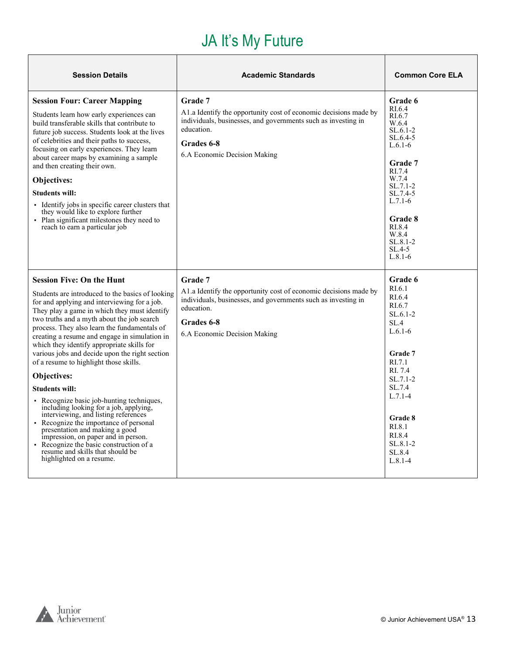# JA It's My Future

| <b>Session Details</b>                                                                                                                                                                                                                                                                                                                                                                                                                                                                                                                                                                                                                                                                                                                                                                                                                                                           | <b>Academic Standards</b>                                                                                                                                                                                | <b>Common Core ELA</b>                                                                                                                                                                                                               |
|----------------------------------------------------------------------------------------------------------------------------------------------------------------------------------------------------------------------------------------------------------------------------------------------------------------------------------------------------------------------------------------------------------------------------------------------------------------------------------------------------------------------------------------------------------------------------------------------------------------------------------------------------------------------------------------------------------------------------------------------------------------------------------------------------------------------------------------------------------------------------------|----------------------------------------------------------------------------------------------------------------------------------------------------------------------------------------------------------|--------------------------------------------------------------------------------------------------------------------------------------------------------------------------------------------------------------------------------------|
| <b>Session Four: Career Mapping</b><br>Students learn how early experiences can<br>build transferable skills that contribute to<br>future job success. Students look at the lives<br>of celebrities and their paths to success,<br>focusing on early experiences. They learn<br>about career maps by examining a sample<br>and then creating their own.<br>Objectives:<br><b>Students will:</b><br>• Identify jobs in specific career clusters that<br>they would like to explore further<br>• Plan significant milestones they need to<br>reach to earn a particular job                                                                                                                                                                                                                                                                                                        | Grade 7<br>A1.a Identify the opportunity cost of economic decisions made by<br>individuals, businesses, and governments such as investing in<br>education.<br>Grades 6-8<br>6.A Economic Decision Making | <b>Grade 6</b><br>RI.6.4<br>RI.6.7<br>W.6.4<br>$SL.6.1-2$<br>$SL.6.4-5$<br>$L.6.1 - 6$<br>Grade 7<br>RI.7.4<br>W.7.4<br>$SL.7.1-2$<br>$SL.7.4-5$<br>$L.7.1-6$<br>Grade 8<br>RI.8.4<br>W.8.4<br>$SL.8.1 - 2$<br>$SL.4-5$<br>$L.8.1-6$ |
| <b>Session Five: On the Hunt</b><br>Students are introduced to the basics of looking<br>for and applying and interviewing for a job.<br>They play a game in which they must identify<br>two truths and a myth about the job search<br>process. They also learn the fundamentals of<br>creating a resume and engage in simulation in<br>which they identify appropriate skills for<br>various jobs and decide upon the right section<br>of a resume to highlight those skills.<br>Objectives:<br><b>Students will:</b><br>Recognize basic job-hunting techniques,<br>including looking for a job, applying,<br>interviewing, and listing references<br>• Recognize the importance of personal<br>presentation and making a good<br>impression, on paper and in person.<br>• Recognize the basic construction of a<br>resume and skills that should be<br>highlighted on a resume. | Grade 7<br>A1.a Identify the opportunity cost of economic decisions made by<br>individuals, businesses, and governments such as investing in<br>education.<br>Grades 6-8<br>6.A Economic Decision Making | Grade 6<br>RI.6.1<br>RI.6.4<br>RI.6.7<br>$SL.6.1-2$<br>SL.4<br>$L.6.1-6$<br>Grade 7<br>RI.7.1<br>RI. 7.4<br>$SL.7.1-2$<br>SL.7.4<br>$L.7.1-4$<br>Grade 8<br>RI.8.1<br>RI.8.4<br>$SL.8.1 - 2$<br>SL.8.4<br>$L.8.1 - 4$                |

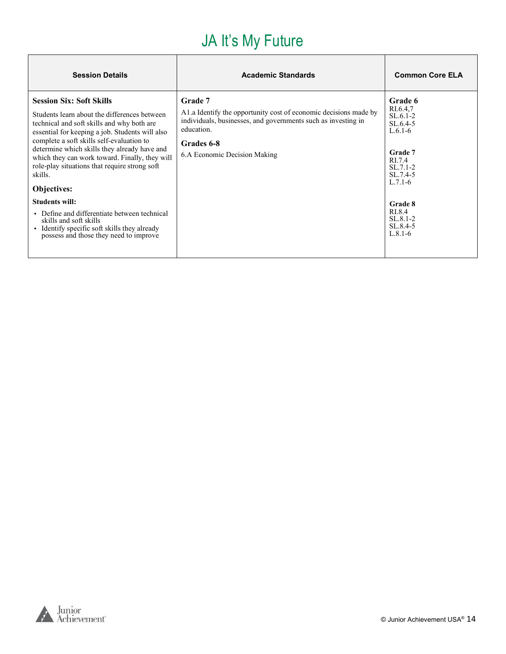# JA It's My Future

| <b>Session Details</b>                                                                                                                                                                                                                                                                                                                                                                                            | <b>Academic Standards</b>                                                                                                                                                                                | <b>Common Core ELA</b>                                                                                                   |
|-------------------------------------------------------------------------------------------------------------------------------------------------------------------------------------------------------------------------------------------------------------------------------------------------------------------------------------------------------------------------------------------------------------------|----------------------------------------------------------------------------------------------------------------------------------------------------------------------------------------------------------|--------------------------------------------------------------------------------------------------------------------------|
| <b>Session Six: Soft Skills</b><br>Students learn about the differences between<br>technical and soft skills and why both are<br>essential for keeping a job. Students will also<br>complete a soft skills self-evaluation to<br>determine which skills they already have and<br>which they can work toward. Finally, they will<br>role-play situations that require strong soft<br>skills.<br><b>Objectives:</b> | Grade 7<br>A1.a Identify the opportunity cost of economic decisions made by<br>individuals, businesses, and governments such as investing in<br>education.<br>Grades 6-8<br>6.A Economic Decision Making | Grade 6<br>RI.6.4,7<br>$SL.6.1-2$<br>$SL.6.4-5$<br>$L.6.1-6$<br>Grade 7<br>RI.7.4<br>$SL.7.1-2$<br>SL.7.4-5<br>$L.7.1-6$ |
| <b>Students will:</b><br>• Define and differentiate between technical<br>skills and soft skills<br>Identify specific soft skills they already<br>possess and those they need to improve                                                                                                                                                                                                                           |                                                                                                                                                                                                          | Grade 8<br>RI.8.4<br>$SL.8.1 - 2$<br>SL.8.4-5<br>$L.8.1-6$                                                               |

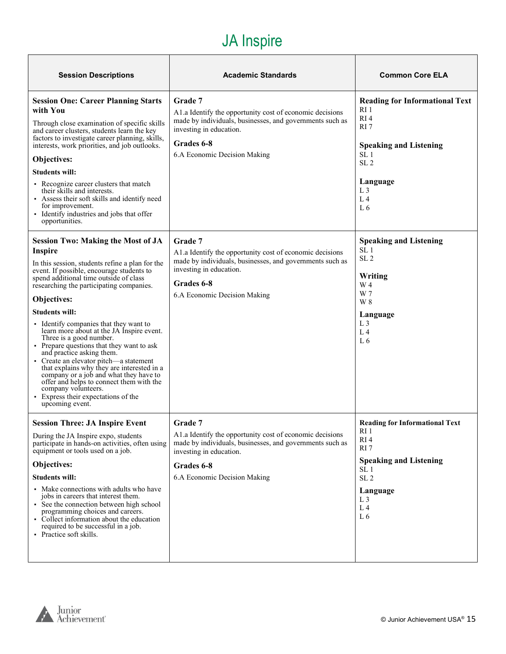#### JA Inspire

| <b>Session Descriptions</b>                                                                                                                                                                                                                                                                                                                                                                                                                                                                                                                                                                                                                                                                                                                   | <b>Academic Standards</b>                                                                                                                                                                                | <b>Common Core ELA</b>                                                                                                                                                                                          |
|-----------------------------------------------------------------------------------------------------------------------------------------------------------------------------------------------------------------------------------------------------------------------------------------------------------------------------------------------------------------------------------------------------------------------------------------------------------------------------------------------------------------------------------------------------------------------------------------------------------------------------------------------------------------------------------------------------------------------------------------------|----------------------------------------------------------------------------------------------------------------------------------------------------------------------------------------------------------|-----------------------------------------------------------------------------------------------------------------------------------------------------------------------------------------------------------------|
| <b>Session One: Career Planning Starts</b><br>with You<br>Through close examination of specific skills<br>and career clusters, students learn the key<br>factors to investigate career planning, skills,<br>interests, work priorities, and job outlooks.<br>Objectives:<br><b>Students will:</b><br>• Recognize career clusters that match<br>their skills and interests.<br>• Assess their soft skills and identify need<br>for improvement.<br>• Identify industries and jobs that offer<br>opportunities.                                                                                                                                                                                                                                 | Grade 7<br>A1.a Identify the opportunity cost of economic decisions<br>made by individuals, businesses, and governments such as<br>investing in education.<br>Grades 6-8<br>6.A Economic Decision Making | <b>Reading for Informational Text</b><br>RI <sub>1</sub><br>RI4<br>RI <sub>7</sub><br><b>Speaking and Listening</b><br>SL <sub>1</sub><br>SL <sub>2</sub><br>Language<br>L <sub>3</sub><br>L <sub>4</sub><br>L6 |
| <b>Session Two: Making the Most of JA</b><br>Inspire<br>In this session, students refine a plan for the<br>event. If possible, encourage students to<br>spend additional time outside of class<br>researching the participating companies.<br>Objectives:<br><b>Students will:</b><br>• Identify companies that they want to<br>learn more about at the JA Inspire event.<br>Three is a good number.<br>• Prepare questions that they want to ask<br>and practice asking them.<br>• Create an elevator pitch—a statement<br>that explains why they are interested in a<br>company or a job and what they have to<br>offer and helps to connect them with the<br>company volunteers.<br>• Express their expectations of the<br>upcoming event. | Grade 7<br>A1.a Identify the opportunity cost of economic decisions<br>made by individuals, businesses, and governments such as<br>investing in education.<br>Grades 6-8<br>6.A Economic Decision Making | <b>Speaking and Listening</b><br>SL <sub>1</sub><br>SL <sub>2</sub><br>Writing<br>W 4<br>W 7<br>W 8<br>Language<br>L <sub>3</sub><br>L <sub>4</sub><br>L <sub>6</sub>                                           |
| <b>Session Three: JA Inspire Event</b><br>During the JA Inspire expo, students<br>participate in hands-on activities, often using<br>equipment or tools used on a job.<br>Objectives:<br><b>Students will:</b><br>• Make connections with adults who have<br>jobs in careers that interest them.<br>• See the connection between high school<br>programming choices and careers.<br>• Collect information about the education<br>required to be successful in a job.<br>• Practice soft skills.                                                                                                                                                                                                                                               | Grade 7<br>A1.a Identify the opportunity cost of economic decisions<br>made by individuals, businesses, and governments such as<br>investing in education.<br>Grades 6-8<br>6.A Economic Decision Making | <b>Reading for Informational Text</b><br>RI 1<br>RI4<br>RI7<br><b>Speaking and Listening</b><br>SL 1<br>SL <sub>2</sub><br>Language<br>L <sub>3</sub><br>L <sub>4</sub><br>L6                                   |

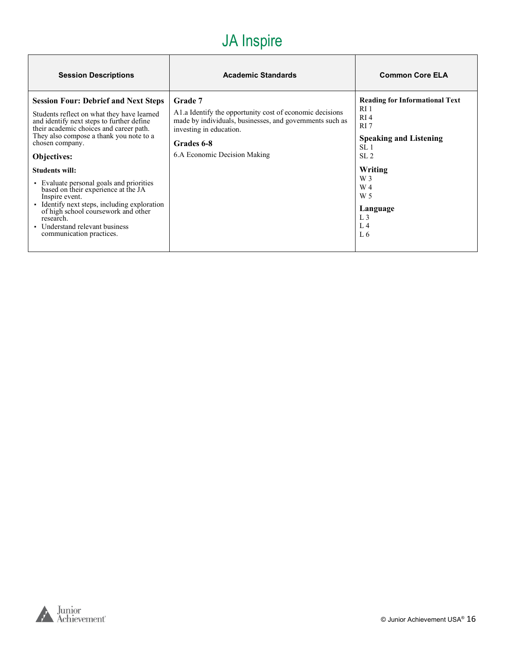#### JA Inspire

| <b>Session Descriptions</b>                                                                                                                                                                                                                                                                                                                                                                                                                                                                                                                                    | <b>Academic Standards</b>                                                                                                                                                                                 | <b>Common Core ELA</b>                                                                                                                                                                                                     |
|----------------------------------------------------------------------------------------------------------------------------------------------------------------------------------------------------------------------------------------------------------------------------------------------------------------------------------------------------------------------------------------------------------------------------------------------------------------------------------------------------------------------------------------------------------------|-----------------------------------------------------------------------------------------------------------------------------------------------------------------------------------------------------------|----------------------------------------------------------------------------------------------------------------------------------------------------------------------------------------------------------------------------|
| <b>Session Four: Debrief and Next Steps</b><br>Students reflect on what they have learned<br>and identify next steps to further define<br>their academic choices and career path.<br>They also compose a thank you note to a<br>chosen company.<br>Objectives:<br><b>Students will:</b><br>• Evaluate personal goals and priorities<br>based on their experience at the JA<br>Inspire event.<br>· Identify next steps, including exploration<br>of high school coursework and other<br>research.<br>• Understand relevant business<br>communication practices. | Grade 7<br>A l.a Identify the opportunity cost of economic decisions<br>made by individuals, businesses, and governments such as<br>investing in education.<br>Grades 6-8<br>6.A Economic Decision Making | <b>Reading for Informational Text</b><br>RI 1<br>RI <sub>4</sub><br>RI 7<br><b>Speaking and Listening</b><br>SL <sub>1</sub><br>SL <sub>2</sub><br>Writing<br>W 3<br>W 4<br>W 5<br>Language<br>L <sub>3</sub><br>L4<br>L 6 |



٦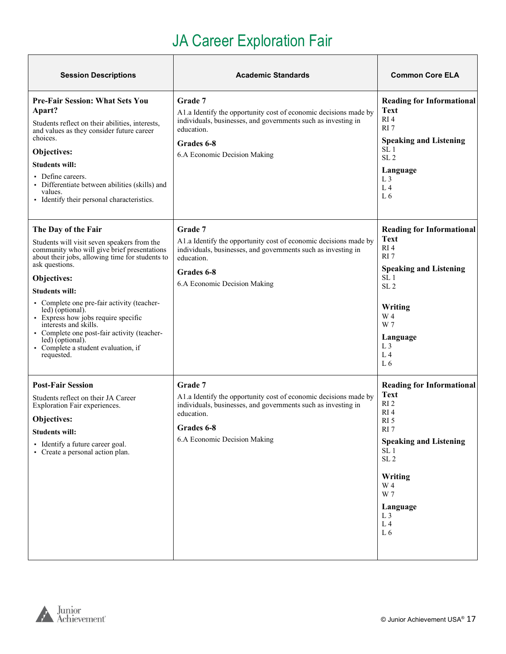# JA Career Exploration Fair

Τ

<span id="page-16-0"></span>

| <b>Session Descriptions</b>                                                                                                                                                                                                                                                                                                                                                                                                                                                              | <b>Academic Standards</b>                                                                                                                                                                                       | <b>Common Core ELA</b>                                                                                                                                                                                                                                                                        |
|------------------------------------------------------------------------------------------------------------------------------------------------------------------------------------------------------------------------------------------------------------------------------------------------------------------------------------------------------------------------------------------------------------------------------------------------------------------------------------------|-----------------------------------------------------------------------------------------------------------------------------------------------------------------------------------------------------------------|-----------------------------------------------------------------------------------------------------------------------------------------------------------------------------------------------------------------------------------------------------------------------------------------------|
| <b>Pre-Fair Session: What Sets You</b><br>Apart?<br>Students reflect on their abilities, interests,<br>and values as they consider future career<br>choices.<br>Objectives:<br><b>Students will:</b><br>• Define careers.<br>Differentiate between abilities (skills) and<br>values.<br>• Identify their personal characteristics.                                                                                                                                                       | <b>Grade</b> 7<br>A1.a Identify the opportunity cost of economic decisions made by<br>individuals, businesses, and governments such as investing in<br>education.<br>Grades 6-8<br>6.A Economic Decision Making | <b>Reading for Informational</b><br>Text<br>RI <sub>4</sub><br>RI 7<br><b>Speaking and Listening</b><br>SL 1<br>SL <sub>2</sub><br>Language<br>L <sub>3</sub><br>L <sub>4</sub><br>L <sub>6</sub>                                                                                             |
| The Day of the Fair<br>Students will visit seven speakers from the<br>community who will give brief presentations<br>about their jobs, allowing time for students to<br>ask questions.<br>Objectives:<br><b>Students will:</b><br>• Complete one pre-fair activity (teacher-<br>led) (optional).<br>• Express how jobs require specific<br>interests and skills.<br>• Complete one post-fair activity (teacher-<br>led) (optional).<br>• Complete a student evaluation, if<br>requested. | Grade 7<br>A1.a Identify the opportunity cost of economic decisions made by<br>individuals, businesses, and governments such as investing in<br>education.<br>Grades 6-8<br>6.A Economic Decision Making        | <b>Reading for Informational</b><br><b>Text</b><br>RI <sub>4</sub><br>RI <sub>7</sub><br><b>Speaking and Listening</b><br>SL <sub>1</sub><br>SL <sub>2</sub><br>Writing<br>W 4<br>W 7<br>Language<br>L <sub>3</sub><br>L <sub>4</sub><br>L <sub>6</sub>                                       |
| <b>Post-Fair Session</b><br>Students reflect on their JA Career<br>Exploration Fair experiences.<br>Objectives:<br><b>Students will:</b><br>• Identify a future career goal.<br>• Create a personal action plan.                                                                                                                                                                                                                                                                         | Grade 7<br>A1.a Identify the opportunity cost of economic decisions made by<br>individuals, businesses, and governments such as investing in<br>education.<br>Grades 6-8<br>6.A Economic Decision Making        | <b>Reading for Informational</b><br><b>Text</b><br>RI <sub>2</sub><br>RI <sub>4</sub><br>RI <sub>5</sub><br>RI <sub>7</sub><br><b>Speaking and Listening</b><br>SL <sub>1</sub><br>SL <sub>2</sub><br>Writing<br>W 4<br>W 7<br>Language<br>L <sub>3</sub><br>L <sub>4</sub><br>L <sub>6</sub> |



٦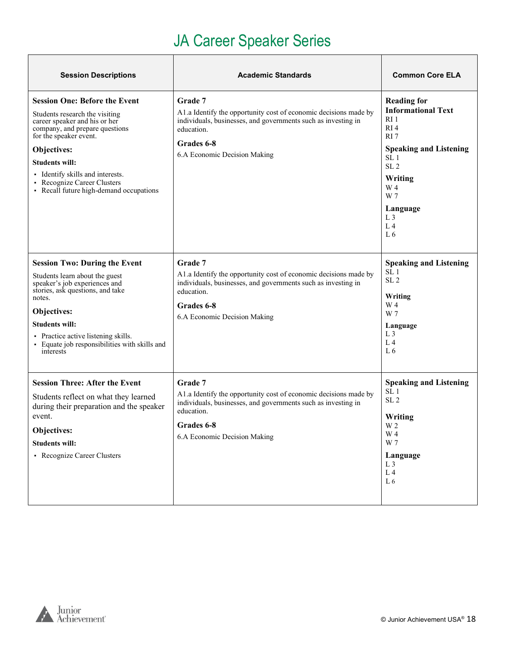# JA Career Speaker Series

<span id="page-17-0"></span>

| <b>Session Descriptions</b>                                                                                                                                                                                                                                                                                             | <b>Academic Standards</b>                                                                                                                                                                                | <b>Common Core ELA</b>                                                                                                                                                                                                                  |
|-------------------------------------------------------------------------------------------------------------------------------------------------------------------------------------------------------------------------------------------------------------------------------------------------------------------------|----------------------------------------------------------------------------------------------------------------------------------------------------------------------------------------------------------|-----------------------------------------------------------------------------------------------------------------------------------------------------------------------------------------------------------------------------------------|
| <b>Session One: Before the Event</b><br>Students research the visiting<br>career speaker and his or her<br>company, and prepare questions<br>for the speaker event.<br>Objectives:<br><b>Students will:</b><br>• Identify skills and interests.<br>Recognize Career Clusters<br>• Recall future high-demand occupations | Grade 7<br>A1.a Identify the opportunity cost of economic decisions made by<br>individuals, businesses, and governments such as investing in<br>education.<br>Grades 6-8<br>6.A Economic Decision Making | <b>Reading for</b><br><b>Informational Text</b><br>RI 1<br>RI4<br>RI <sub>7</sub><br><b>Speaking and Listening</b><br>SL <sub>1</sub><br>SL <sub>2</sub><br>Writing<br>W 4<br>W 7<br>Language<br>L <sub>3</sub><br>L <sub>4</sub><br>L6 |
| <b>Session Two: During the Event</b><br>Students learn about the guest<br>speaker's job experiences and<br>stories, ask questions, and take<br>notes.<br>Objectives:<br><b>Students will:</b><br>• Practice active listening skills.<br>· Equate job responsibilities with skills and<br>interests                      | Grade 7<br>A1.a Identify the opportunity cost of economic decisions made by<br>individuals, businesses, and governments such as investing in<br>education.<br>Grades 6-8<br>6.A Economic Decision Making | <b>Speaking and Listening</b><br>SL <sub>1</sub><br>SL <sub>2</sub><br>Writing<br>W 4<br>W 7<br>Language<br>L <sub>3</sub><br>L <sub>4</sub><br>L6                                                                                      |
| <b>Session Three: After the Event</b><br>Students reflect on what they learned<br>during their preparation and the speaker<br>event.<br>Objectives:<br><b>Students will:</b><br>• Recognize Career Clusters                                                                                                             | Grade 7<br>A1.a Identify the opportunity cost of economic decisions made by<br>individuals, businesses, and governments such as investing in<br>education.<br>Grades 6-8<br>6.A Economic Decision Making | <b>Speaking and Listening</b><br>SL <sub>1</sub><br>SL <sub>2</sub><br>Writing<br>W 2<br>W 4<br>W 7<br>Language<br>L <sub>3</sub><br>$\;$ L 4 $\;$<br>$\;$ L $\;$ 6                                                                     |

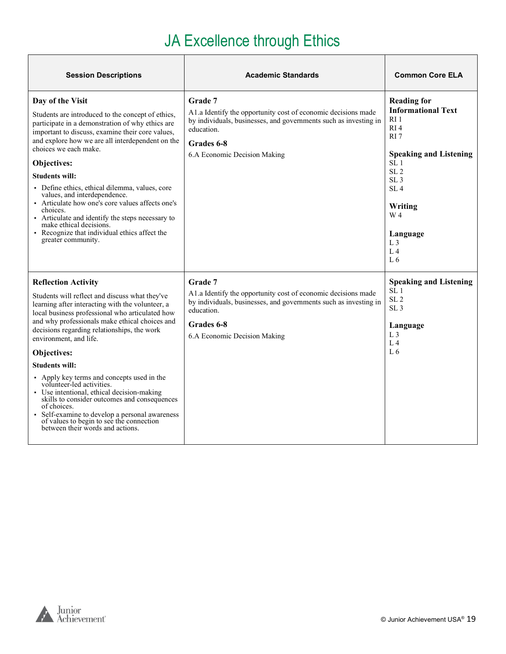#### JA Excellence through Ethics

| <b>Session Descriptions</b>                                                                                                                                                                                                                                                                                                                                                                                                                                                                                                                                                                                                                                                    | <b>Academic Standards</b>                                                                                                                                                                                | <b>Common Core ELA</b>                                                                                                                                                                                                                                                            |
|--------------------------------------------------------------------------------------------------------------------------------------------------------------------------------------------------------------------------------------------------------------------------------------------------------------------------------------------------------------------------------------------------------------------------------------------------------------------------------------------------------------------------------------------------------------------------------------------------------------------------------------------------------------------------------|----------------------------------------------------------------------------------------------------------------------------------------------------------------------------------------------------------|-----------------------------------------------------------------------------------------------------------------------------------------------------------------------------------------------------------------------------------------------------------------------------------|
| Day of the Visit<br>Students are introduced to the concept of ethics,<br>participate in a demonstration of why ethics are<br>important to discuss, examine their core values,<br>and explore how we are all interdependent on the<br>choices we each make.<br>Objectives:<br><b>Students will:</b><br>• Define ethics, ethical dilemma, values, core<br>values, and interdependence.<br>• Articulate how one's core values affects one's<br>choices.<br>• Articulate and identify the steps necessary to<br>make ethical decisions.<br>• Recognize that individual ethics affect the<br>greater community.                                                                     | Grade 7<br>A1.a Identify the opportunity cost of economic decisions made<br>by individuals, businesses, and governments such as investing in<br>education.<br>Grades 6-8<br>6.A Economic Decision Making | <b>Reading for</b><br><b>Informational Text</b><br>R11<br>RI4<br>RI <sub>7</sub><br><b>Speaking and Listening</b><br>SL <sub>1</sub><br>SL <sub>2</sub><br>SL <sub>3</sub><br>SL <sub>4</sub><br>Writing<br>W 4<br>Language<br>L <sub>3</sub><br>L <sub>4</sub><br>L <sub>6</sub> |
| <b>Reflection Activity</b><br>Students will reflect and discuss what they've<br>learning after interacting with the volunteer, a<br>local business professional who articulated how<br>and why professionals make ethical choices and<br>decisions regarding relationships, the work<br>environment, and life.<br>Objectives:<br><b>Students will:</b><br>• Apply key terms and concepts used in the<br>volunteer-led activities.<br>Use intentional, ethical decision-making<br>skills to consider outcomes and consequences<br>of choices.<br>• Self-examine to develop a personal awareness<br>of values to begin to see the connection<br>between their words and actions. | Grade 7<br>A1.a Identify the opportunity cost of economic decisions made<br>by individuals, businesses, and governments such as investing in<br>education.<br>Grades 6-8<br>6.A Economic Decision Making | <b>Speaking and Listening</b><br>SL 1<br>SL <sub>2</sub><br>SL <sub>3</sub><br>Language<br>$L_{\rm 3}$<br>L <sub>4</sub><br>L6                                                                                                                                                    |



٦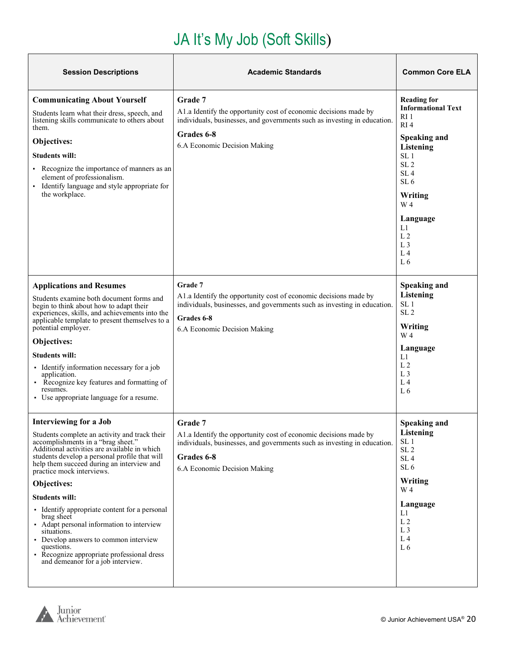# JA It's My Job (Soft Skills)

<span id="page-19-0"></span>

| <b>Session Descriptions</b>                                                                                                                                                                                                                                                                                                                                                                                                                                                                                                                                                                           | <b>Academic Standards</b>                                                                                                                                                                                    | <b>Common Core ELA</b>                                                                                                                                                                                                                                                                                            |
|-------------------------------------------------------------------------------------------------------------------------------------------------------------------------------------------------------------------------------------------------------------------------------------------------------------------------------------------------------------------------------------------------------------------------------------------------------------------------------------------------------------------------------------------------------------------------------------------------------|--------------------------------------------------------------------------------------------------------------------------------------------------------------------------------------------------------------|-------------------------------------------------------------------------------------------------------------------------------------------------------------------------------------------------------------------------------------------------------------------------------------------------------------------|
| <b>Communicating About Yourself</b><br>Students learn what their dress, speech, and<br>listening skills communicate to others about<br>them.<br>Objectives:<br><b>Students will:</b><br>• Recognize the importance of manners as an<br>element of professionalism.<br>• Identify language and style appropriate for<br>the workplace.                                                                                                                                                                                                                                                                 | Grade 7<br>A1.a Identify the opportunity cost of economic decisions made by<br>individuals, businesses, and governments such as investing in education.<br>Grades 6-8<br>6.A Economic Decision Making        | <b>Reading for</b><br><b>Informational Text</b><br>RI <sub>1</sub><br>RI <sub>4</sub><br><b>Speaking and</b><br>Listening<br>SL <sub>1</sub><br>SL <sub>2</sub><br>SL <sub>4</sub><br>SL <sub>6</sub><br>Writing<br>W 4<br>Language<br>L1<br>L <sub>2</sub><br>L <sub>3</sub><br>L <sub>4</sub><br>L <sub>6</sub> |
| <b>Applications and Resumes</b><br>Students examine both document forms and<br>begin to think about how to adapt their<br>experiences, skills, and achievements into the<br>applicable template to present themselves to a<br>potential employer.<br>Objectives:<br><b>Students will:</b><br>• Identify information necessary for a job<br>application.<br>• Recognize key features and formatting of<br>resumes.<br>• Use appropriate language for a resume.                                                                                                                                         | Grade 7<br>A1.a Identify the opportunity cost of economic decisions made by<br>individuals, businesses, and governments such as investing in education.<br>Grades 6-8<br>6.A Economic Decision Making        | <b>Speaking and</b><br>Listening<br>SL <sub>1</sub><br>SL <sub>2</sub><br>Writing<br>W <sub>4</sub><br>Language<br>L1<br>L <sub>2</sub><br>L <sub>3</sub><br>L <sub>4</sub><br>L6                                                                                                                                 |
| Interviewing for a Job<br>Students complete an activity and track their<br>accomplishments in a "brag sheet."<br>Additional activities are available in which<br>students develop a personal profile that will<br>help them succeed during an interview and<br>practice mock interviews.<br>Objectives:<br><b>Students will:</b><br>• Identify appropriate content for a personal<br>brag sheet<br>• Adapt personal information to interview<br>situations.<br>• Develop answers to common interview<br>questions.<br>• Recognize appropriate professional dress<br>and demeanor for a job interview. | <b>Grade</b> 7<br>A1.a Identify the opportunity cost of economic decisions made by<br>individuals, businesses, and governments such as investing in education.<br>Grades 6-8<br>6.A Economic Decision Making | Speaking and<br>Listening<br>SL <sub>1</sub><br>SL <sub>2</sub><br>SL <sub>4</sub><br>SL <sub>6</sub><br>Writing<br>W <sub>4</sub><br>Language<br>L1<br>L <sub>2</sub><br>L <sub>3</sub><br>L <sub>4</sub><br>L6                                                                                                  |